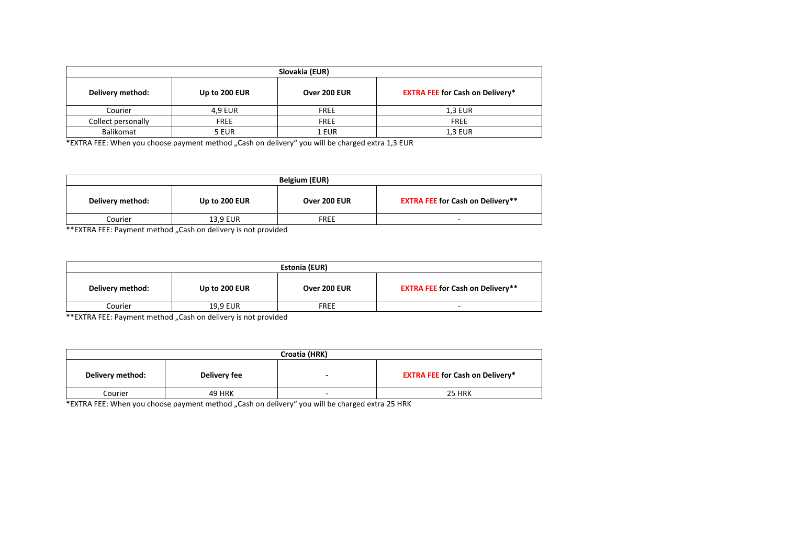| Slovakia (EUR)     |               |              |                                        |
|--------------------|---------------|--------------|----------------------------------------|
| Delivery method:   | Up to 200 EUR | Over 200 EUR | <b>EXTRA FEE for Cash on Delivery*</b> |
| Courier            | 4.9 EUR       | <b>FREE</b>  | <b>1.3 EUR</b>                         |
| Collect personally | <b>FREE</b>   | <b>FREE</b>  | <b>FREE</b>                            |
| Balíkomat          | 5 EUR         | 1 EUR        | <b>1.3 EUR</b>                         |

\*EXTRA FEE: When you choose payment method "Cash on delivery" you will be charged extra 1,3 EUR

| Belgium (EUR)    |               |              |                                         |
|------------------|---------------|--------------|-----------------------------------------|
| Delivery method: | Up to 200 EUR | Over 200 EUR | <b>EXTRA FEE for Cash on Delivery**</b> |
| Courier          | 13,9 EUR      | <b>FREE</b>  | $\overline{\phantom{0}}$                |

\*\*EXTRA FEE: Payment method "Cash on delivery is not provided

| <b>Estonia (EUR)</b> |               |              |                                         |
|----------------------|---------------|--------------|-----------------------------------------|
| Delivery method:     | Up to 200 EUR | Over 200 EUR | <b>EXTRA FEE for Cash on Delivery**</b> |
| Courier              | 19.9 EUR      | <b>FREE</b>  |                                         |

\*\*EXTRA FEE: Payment method "Cash on delivery is not provided

| Croatia (HRK)    |               |  |                                        |
|------------------|---------------|--|----------------------------------------|
| Delivery method: | Delivery fee  |  | <b>EXTRA FEE for Cash on Delivery*</b> |
| Courier          | <b>49 HRK</b> |  | 25 HRK                                 |

 $*$ EXTRA FEE: When you choose payment method "Cash on delivery" you will be charged extra 25 HRK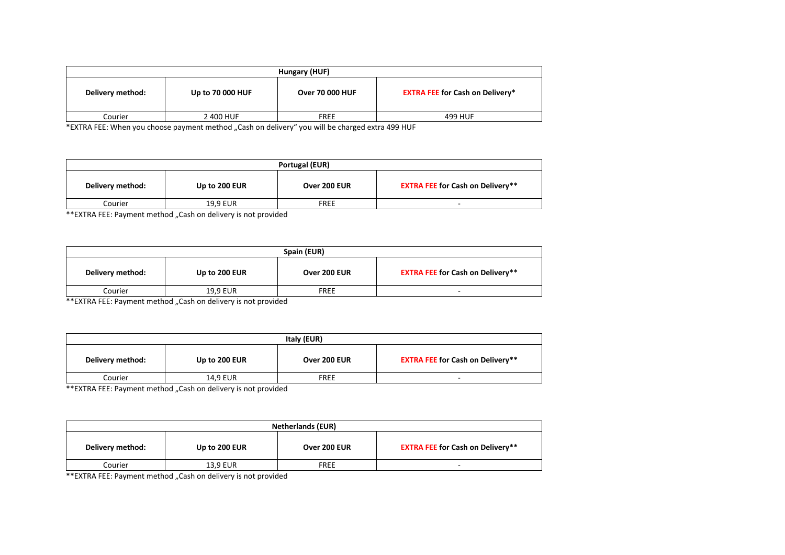| Hungary (HUF)    |                  |                        |                                        |
|------------------|------------------|------------------------|----------------------------------------|
| Delivery method: | Up to 70 000 HUF | <b>Over 70 000 HUF</b> | <b>EXTRA FEE for Cash on Delivery*</b> |
| Courier          | 2 400 HUF        | <b>FREE</b>            | 499 HUF                                |

\*EXTRA FEE: When you choose payment method "Cash on delivery" you will be charged extra 499 HUF

| Portugal (EUR)   |               |              |                                         |  |
|------------------|---------------|--------------|-----------------------------------------|--|
| Delivery method: | Up to 200 EUR | Over 200 EUR | <b>EXTRA FEE for Cash on Delivery**</b> |  |
| Courier          | 19.9 EUR      | <b>FREE</b>  |                                         |  |

\*\*EXTRA FEE: Payment method "Cash on delivery is not provided

| Spain (EUR)      |               |              |                                         |
|------------------|---------------|--------------|-----------------------------------------|
| Delivery method: | Up to 200 EUR | Over 200 EUR | <b>EXTRA FEE for Cash on Delivery**</b> |
| Courier          | 19.9 EUR      | <b>FREE</b>  | -                                       |

\*\*EXTRA FEE: Payment method "Cash on delivery is not provided

| Italy (EUR)      |               |              |                                         |
|------------------|---------------|--------------|-----------------------------------------|
| Delivery method: | Up to 200 EUR | Over 200 EUR | <b>EXTRA FEE for Cash on Delivery**</b> |
| Courier          | 14,9 EUR      | <b>FREE</b>  | -                                       |

\*\*EXTRA FEE: Payment method "Cash on delivery is not provided

| <b>Netherlands (EUR)</b> |               |              |                                         |  |
|--------------------------|---------------|--------------|-----------------------------------------|--|
| Delivery method:         | Up to 200 EUR | Over 200 EUR | <b>EXTRA FEE for Cash on Delivery**</b> |  |
| Courier                  | 13.9 EUR      | <b>FREE</b>  |                                         |  |

\*\*EXTRA FEE: Payment method "Cash on delivery is not provided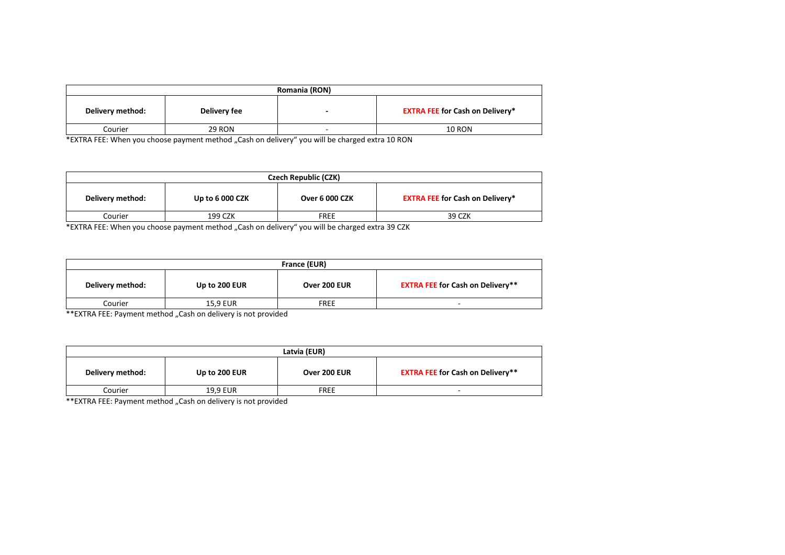| Romania (RON)    |               |   |                                        |  |
|------------------|---------------|---|----------------------------------------|--|
| Delivery method: | Delivery fee  |   | <b>EXTRA FEE for Cash on Delivery*</b> |  |
| Courier          | <b>29 RON</b> | - | <b>10 RON</b>                          |  |

\*EXTRA FEE: When you choose payment method "Cash on delivery" you will be charged extra 10 RON

| Czech Republic (CZK) |                        |                       |                                        |
|----------------------|------------------------|-----------------------|----------------------------------------|
| Delivery method:     | <b>Up to 6 000 CZK</b> | <b>Over 6 000 CZK</b> | <b>EXTRA FEE for Cash on Delivery*</b> |
| Courier              | 199 CZK                | <b>FREE</b>           | 39 CZK                                 |

\*EXTRA FEE: When you choose payment method "Cash on delivery" you will be charged extra 39 CZK

| France (EUR)     |                                                                                        |              |                                         |
|------------------|----------------------------------------------------------------------------------------|--------------|-----------------------------------------|
| Delivery method: | Up to 200 EUR                                                                          | Over 200 EUR | <b>EXTRA FEE for Cash on Delivery**</b> |
| Courier          | <b>15.9 EUR</b>                                                                        | <b>FREE</b>  |                                         |
| $\frac{1}{2}$    | $\cdots$<br>$\cdot$ $\cdot$ $\cdot$ $\cdot$ $\cdot$ $\cdot$ $\cdot$<br>$\cdot$ $\cdot$ |              |                                         |

\*\*EXTRA FEE: Payment method "Cash on delivery is not provided

| Latvia (EUR)     |               |              |                                         |
|------------------|---------------|--------------|-----------------------------------------|
| Delivery method: | Up to 200 EUR | Over 200 EUR | <b>EXTRA FEE for Cash on Delivery**</b> |
| Courier          | 19.9 EUR      | <b>FREE</b>  | -                                       |

\*\*EXTRA FEE: Payment method "Cash on delivery is not provided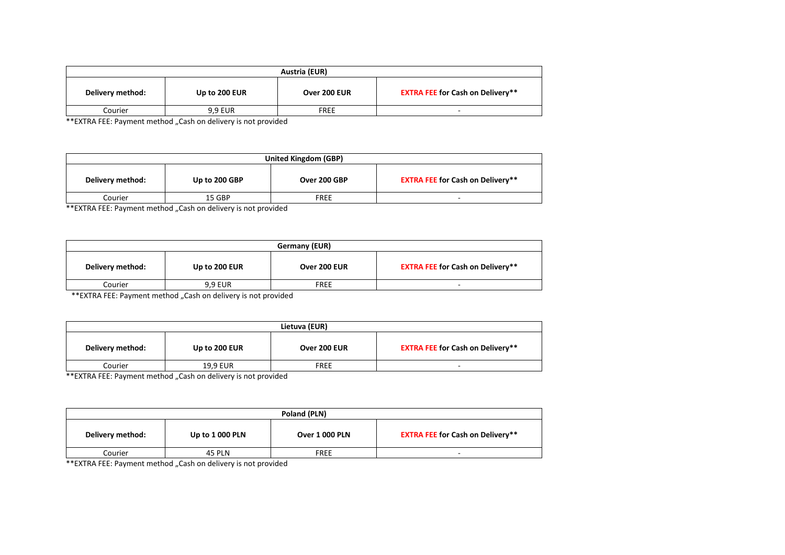| Austria (EUR)    |                |              |                                         |
|------------------|----------------|--------------|-----------------------------------------|
| Delivery method: | Up to 200 EUR  | Over 200 EUR | <b>EXTRA FEE for Cash on Delivery**</b> |
| Courier          | <b>9.9 EUR</b> | <b>FREE</b>  | -                                       |

\*\*EXTRA FEE: Payment method "Cash on delivery is not provided

| <b>United Kingdom (GBP)</b> |               |              |                                         |
|-----------------------------|---------------|--------------|-----------------------------------------|
| Delivery method:            | Up to 200 GBP | Over 200 GBP | <b>EXTRA FEE for Cash on Delivery**</b> |
| Courier                     | 15 GBP        | FREE         | ۰                                       |

\*\*EXTRA FEE: Payment method "Cash on delivery is not provided

| Germany (EUR)    |               |              |                                         |
|------------------|---------------|--------------|-----------------------------------------|
| Delivery method: | Up to 200 EUR | Over 200 EUR | <b>EXTRA FEE for Cash on Delivery**</b> |
| Courier          | 9.9 EUR       | <b>FREE</b>  |                                         |
|                  |               |              |                                         |

\*\*EXTRA FEE: Payment method "Cash on delivery is not provided

| Lietuva (EUR)    |               |              |                                         |
|------------------|---------------|--------------|-----------------------------------------|
| Delivery method: | Up to 200 EUR | Over 200 EUR | <b>EXTRA FEE for Cash on Delivery**</b> |
| Courier          | 19,9 EUR      | <b>FREE</b>  | -                                       |

\*\*EXTRA FEE: Payment method "Cash on delivery is not provided

| Poland (PLN)     |                        |                       |                                         |
|------------------|------------------------|-----------------------|-----------------------------------------|
| Delivery method: | <b>Up to 1 000 PLN</b> | <b>Over 1 000 PLN</b> | <b>EXTRA FEE for Cash on Delivery**</b> |
| Courier          | <b>45 PLN</b>          | <b>FREE</b>           | -                                       |

\*\*EXTRA FEE: Payment method "Cash on delivery is not provided